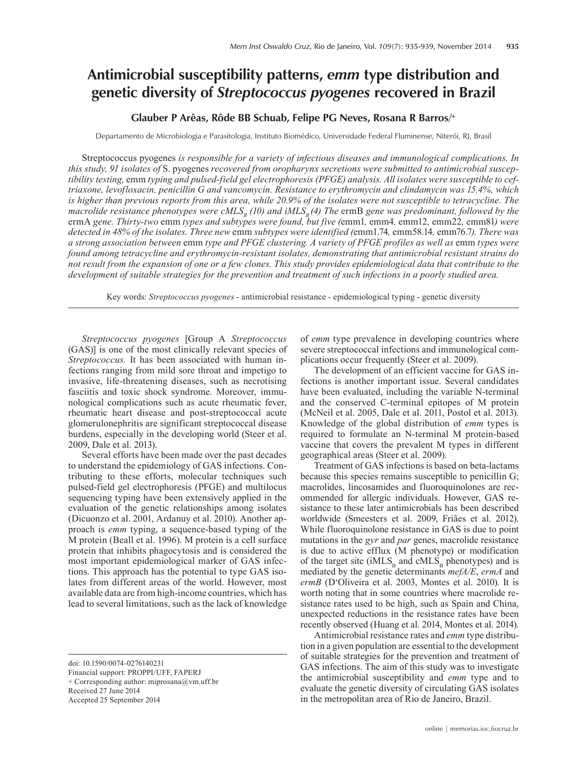# **Antimicrobial susceptibility patterns,** *emm* **type distribution and genetic diversity of** *Streptococcus pyogenes* **recovered in Brazil**

# **Glauber P Arêas, Rôde BB Schuab, Felipe PG Neves, Rosana R Barros/+**

Departamento de Microbiologia e Parasitologia, Instituto Biomédico, Universidade Federal Fluminense, Niterói, RJ, Brasil

Streptococcus pyogenes *is responsible for a variety of infectious diseases and immunological complications. In this study, 91 isolates of* S. pyogenes *recovered from oropharynx secretions were submitted to antimicrobial susceptibility testing,* emm *typing and pulsed-field gel electrophoresis (PFGE) analysis. All isolates were susceptible to ceftriaxone, levofloxacin, penicillin G and vancomycin. Resistance to erythromycin and clindamycin was 15.4%, which is higher than previous reports from this area, while 20.9% of the isolates were not susceptible to tetracycline. The macrolide resistance phenotypes were cMLS<sub>B</sub> (10) and iMLS<sub>B</sub> (4). The ermB gene was predominant, followed by the* ermA *gene. Thirty-two* emm *types and subtypes were found, but five (*emm1*,* emm4*,* emm12*,* emm22*,* emm81*) were detected in 48% of the isolates. Three new* emm *subtypes were identified (*emm1.74*,* emm58.14*,* emm76.7*). There was a strong association between* emm *type and PFGE clustering. A variety of PFGE profiles as well as* emm *types were found among tetracycline and erythromycin-resistant isolates, demonstrating that antimicrobial resistant strains do not result from the expansion of one or a few clones. This study provides epidemiological data that contribute to the development of suitable strategies for the prevention and treatment of such infections in a poorly studied area.*

Key words: *Streptococcus pyogenes* - antimicrobial resistance - epidemiological typing - genetic diversity

*Streptococcus pyogenes* [Group A *Streptococcus* (GAS)] is one of the most clinically relevant species of *Streptococcus.* It has been associated with human infections ranging from mild sore throat and impetigo to invasive, life-threatening diseases, such as necrotising fasciitis and toxic shock syndrome. Moreover, immunological complications such as acute rheumatic fever, rheumatic heart disease and post-streptococcal acute glomerulonephritis are significant streptococcal disease burdens, especially in the developing world (Steer et al. 2009, Dale et al. 2013).

Several efforts have been made over the past decades to understand the epidemiology of GAS infections. Contributing to these efforts, molecular techniques such pulsed-field gel electrophoresis (PFGE) and multilocus sequencing typing have been extensively applied in the evaluation of the genetic relationships among isolates (Dicuonzo et al. 2001, Ardanuy et al. 2010). Another approach is *emm* typing, a sequence-based typing of the M protein (Beall et al. 1996). M protein is a cell surface protein that inhibits phagocytosis and is considered the most important epidemiological marker of GAS infections. This approach has the potential to type GAS isolates from different areas of the world. However, most available data are from high-income countries, which has lead to several limitations, such as the lack of knowledge

Received 27 June 2014

Accepted 25 September 2014

of *emm* type prevalence in developing countries where severe streptococcal infections and immunological complications occur frequently (Steer et al. 2009).

The development of an efficient vaccine for GAS infections is another important issue. Several candidates have been evaluated, including the variable N-terminal and the conserved C-terminal epitopes of M protein (McNeil et al. 2005, Dale et al. 2011, Postol et al. 2013). Knowledge of the global distribution of *emm* types is required to formulate an N-terminal M protein-based vaccine that covers the prevalent M types in different geographical areas (Steer et al. 2009).

Treatment of GAS infections is based on beta-lactams because this species remains susceptible to penicillin G; macrolides, lincosamides and fluoroquinolones are recommended for allergic individuals. However, GAS resistance to these later antimicrobials has been described worldwide (Smeesters et al. 2009, Friães et al. 2012). While fluoroquinolone resistance in GAS is due to point mutations in the *gyr* and *par* genes, macrolide resistance is due to active efflux (M phenotype) or modification of the target site (iMLS<sub>B</sub> and cMLS<sub>B</sub> phenotypes) and is mediated by the genetic determinants *mefA/E*, *ermA* and *ermB* (D'Oliveira et al. 2003, Montes et al. 2010). It is worth noting that in some countries where macrolide resistance rates used to be high, such as Spain and China, unexpected reductions in the resistance rates have been recently observed (Huang et al. 2014, Montes et al. 2014).

Antimicrobial resistance rates and *emm* type distribution in a given population are essential to the development of suitable strategies for the prevention and treatment of GAS infections. The aim of this study was to investigate the antimicrobial susceptibility and *emm* type and to evaluate the genetic diversity of circulating GAS isolates in the metropolitan area of Rio de Janeiro, Brazil.

doi: 10.1590/0074-0276140231

Financial support: PROPPI/UFF, FAPERJ

<sup>+</sup> Corresponding author: miprosana@vm.uff.br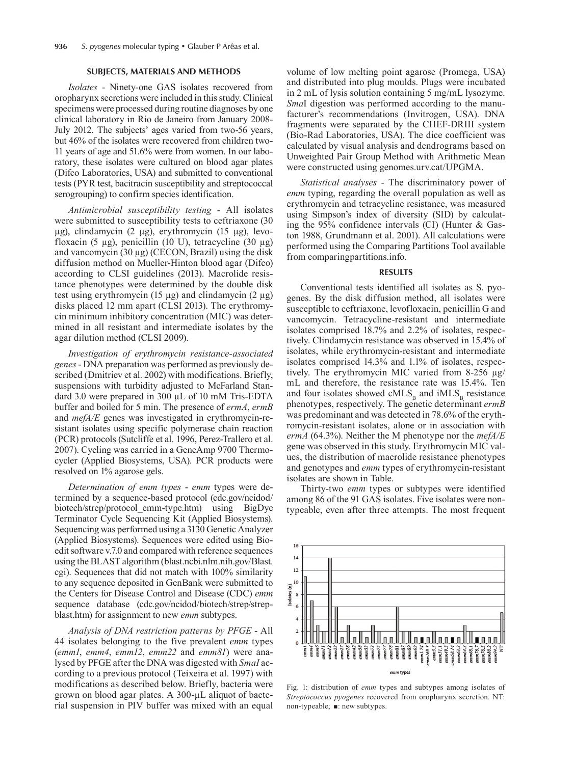### **SUBJECTS, MATERIALS AND METHODS**

*Isolates* - Ninety-one GAS isolates recovered from oropharynx secretions were included in this study. Clinical specimens were processed during routine diagnoses by one clinical laboratory in Rio de Janeiro from January 2008- July 2012. The subjects' ages varied from two-56 years, but 46% of the isolates were recovered from children two-11 years of age and 51.6% were from women. In our laboratory, these isolates were cultured on blood agar plates (Difco Laboratories, USA) and submitted to conventional tests (PYR test, bacitracin susceptibility and streptococcal serogrouping) to confirm species identification.

*Antimicrobial susceptibility testing* - All isolates were submitted to susceptibility tests to ceftriaxone (30 µg), clindamycin (2 µg), erythromycin (15 µg), levofloxacin (5 µg), penicillin (10 U), tetracycline (30 µg) and vancomycin  $(30 \mu g)$  (CECON, Brazil) using the disk diffusion method on Mueller-Hinton blood agar (Difco) according to CLSI guidelines (2013). Macrolide resistance phenotypes were determined by the double disk test using erythromycin (15 µg) and clindamycin (2 µg) disks placed 12 mm apart (CLSI 2013). The erythromycin minimum inhibitory concentration (MIC) was determined in all resistant and intermediate isolates by the agar dilution method (CLSI 2009).

*Investigation of erythromycin resistance-associated genes* - DNA preparation was performed as previously described (Dmitriev et al. 2002) with modifications. Briefly, suspensions with turbidity adjusted to McFarland Standard 3.0 were prepared in 300 µL of 10 mM Tris-EDTA buffer and boiled for 5 min. The presence of *ermA*, *ermB* and *mefA/E* genes was investigated in erythromycin-resistant isolates using specific polymerase chain reaction (PCR) protocols (Sutcliffe et al. 1996, Perez-Trallero et al. 2007). Cycling was carried in a GeneAmp 9700 Thermocycler (Applied Biosystems, USA). PCR products were resolved on 1% agarose gels.

*Determination of emm types* - *emm* types were determined by a sequence-based protocol (cdc.gov/ncidod/ biotech/strep/protocol emm-type.htm) using BigDye Terminator Cycle Sequencing Kit (Applied Biosystems). Sequencing was performed using a 3130 Genetic Analyzer (Applied Biosystems). Sequences were edited using Bioedit software v.7.0 and compared with reference sequences using the BLAST algorithm (blast.ncbi.nlm.nih.gov/Blast. cgi). Sequences that did not match with 100% similarity to any sequence deposited in GenBank were submitted to the Centers for Disease Control and Disease (CDC) *emm* sequence database (cdc.gov/ncidod/biotech/strep/strepblast.htm) for assignment to new *emm* subtypes.

*Analysis of DNA restriction patterns by PFGE* - All 44 isolates belonging to the five prevalent *emm* types (*emm1*, *emm4*, *emm12*, *emm22* and *emm81*) were analysed by PFGE after the DNA was digested with *SmaI* according to a previous protocol (Teixeira et al. 1997) with modifications as described below. Briefly, bacteria were grown on blood agar plates. A 300-µL aliquot of bacterial suspension in PIV buffer was mixed with an equal

volume of low melting point agarose (Promega, USA) and distributed into plug moulds. Plugs were incubated in 2 mL of lysis solution containing 5 mg/mL lysozyme. *Sma*I digestion was performed according to the manufacturer's recommendations (Invitrogen, USA). DNA fragments were separated by the CHEF-DRIII system (Bio-Rad Laboratories, USA). The dice coefficient was calculated by visual analysis and dendrograms based on Unweighted Pair Group Method with Arithmetic Mean were constructed using genomes.urv.cat/UPGMA.

*Statistical analyses* - The discriminatory power of *emm* typing, regarding the overall population as well as erythromycin and tetracycline resistance, was measured using Simpson's index of diversity (SID) by calculating the 95% confidence intervals (CI) (Hunter & Gaston 1988, Grundmann et al. 2001). All calculations were performed using the Comparing Partitions Tool available from comparingpartitions.info.

#### **RESULTS**

Conventional tests identified all isolates as S. pyogenes. By the disk diffusion method, all isolates were susceptible to ceftriaxone, levofloxacin, penicillin G and vancomycin. Tetracycline-resistant and intermediate isolates comprised 18.7% and 2.2% of isolates, respectively. Clindamycin resistance was observed in 15.4% of isolates, while erythromycin-resistant and intermediate isolates comprised 14.3% and 1.1% of isolates, respectively. The erythromycin MIC varied from 8-256 µg/ mL and therefore, the resistance rate was 15.4%. Ten and four isolates showed  $\text{cMLS}_B$  and  $\text{iMLS}_B$  resistance phenotypes, respectively. The genetic determinant *ermB*  was predominant and was detected in 78.6% of the erythromycin-resistant isolates, alone or in association with *ermA* (64.3%). Neither the M phenotype nor the *mefA/E* gene was observed in this study. Erythromycin MIC values, the distribution of macrolide resistance phenotypes and genotypes and *emm* types of erythromycin-resistant isolates are shown in Table.

Thirty-two *emm* types or subtypes were identified among 86 of the 91 GAS isolates. Five isolates were nontypeable, even after three attempts. The most frequent



Fig. 1: distribution of *emm* types and subtypes among isolates of *Streptococcus pyogenes* recovered from oropharynx secretion. NT: non-typeable;  $\blacksquare$ : new subtypes.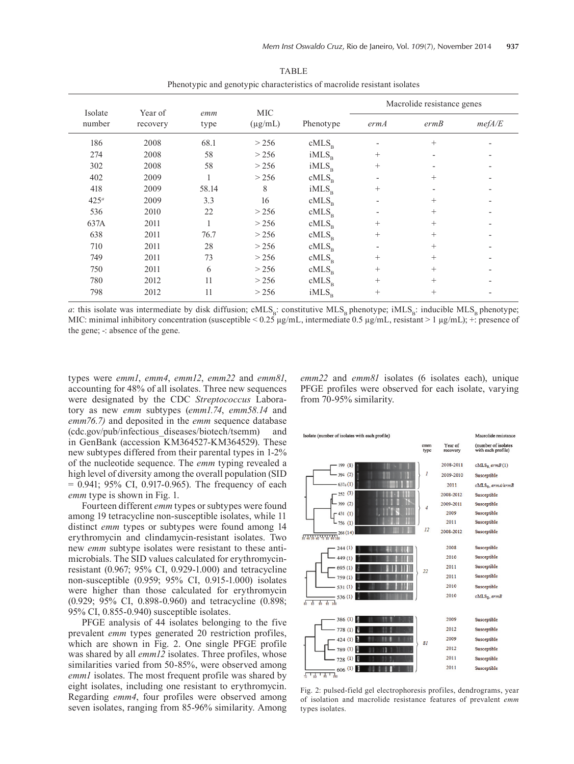| Isolate<br>number | Year of<br>recovery | emm<br>type | <b>MIC</b><br>$(\mu g/mL)$ |                   | Macrolide resistance genes |        |        |
|-------------------|---------------------|-------------|----------------------------|-------------------|----------------------------|--------|--------|
|                   |                     |             |                            | Phenotype         | ermA                       | ermB   | mefA/E |
| 186               | 2008                | 68.1        | > 256                      | $cMLS_p$          |                            | $^{+}$ |        |
| 274               | 2008                | 58          | > 256                      | iMLS <sub>p</sub> | $^{+}$                     |        |        |
| 302               | 2008                | 58          | > 256                      | iMLS <sub>p</sub> | $^{+}$                     |        |        |
| 402               | 2009                |             | > 256                      | cMLS <sub>B</sub> | ٠                          | $^{+}$ |        |
| 418               | 2009                | 58.14       | 8                          | iMLS <sub>p</sub> | $^{+}$                     |        |        |
| $425^a$           | 2009                | 3.3         | 16                         | cMLS <sub>B</sub> | $\overline{\phantom{a}}$   | $^{+}$ |        |
| 536               | 2010                | 22          | > 256                      | cMLS <sub>p</sub> | $\overline{\phantom{a}}$   | $^{+}$ |        |
| 637A              | 2011                |             | > 256                      | cMLS <sub>B</sub> | $^{+}$                     | $+$    |        |
| 638               | 2011                | 76.7        | > 256                      | cMLS <sub>B</sub> | $^{+}$                     | $+$    |        |
| 710               | 2011                | 28          | > 256                      | $cMLS_{p}$        | ٠                          | $^{+}$ |        |
| 749               | 2011                | 73          | > 256                      | cMLS <sub>B</sub> | $^{+}$                     | $^{+}$ |        |
| 750               | 2011                | 6           | > 256                      | cMLS <sub>p</sub> | $^{+}$                     | $+$    |        |
| 780               | 2012                | 11          | > 256                      | cMLS <sub>p</sub> | $^{+}$                     | $^{+}$ |        |
| 798               | 2012                | 11          | > 256                      | iMLS <sub>B</sub> | $^{+}$                     | $^{+}$ |        |

TABLE Phenotypic and genotypic characteristics of macrolide resistant isolates

*a*: this isolate was intermediate by disk diffusion; cMLS<sub>B</sub>: constitutive MLS<sub>B</sub> phenotype; iMLS<sub>B</sub>: inducible MLS<sub>B</sub> phenotype; MIC: minimal inhibitory concentration (susceptible <  $0.25 \mu g/mL$ , intermediate  $0.5 \mu g/mL$ , resistant > 1  $\mu g/mL$ ); +: presence of the gene; -: absence of the gene.

types were *emm1*, *emm4*, *emm12*, *emm22* and *emm81*, accounting for 48% of all isolates. Three new sequences were designated by the CDC *Streptococcus* Laboratory as new *emm* subtypes (*emm1.74*, *emm58.14* and *emm76.7)* and deposited in the *emm* sequence database (cdc.gov/pub/infectious\_diseases/biotech/tsemm) and in GenBank (accession KM364527-KM364529). These new subtypes differed from their parental types in 1-2% of the nucleotide sequence. The *emm* typing revealed a high level of diversity among the overall population (SID  $= 0.941$ ; 95% CI, 0.917-0.965). The frequency of each *emm* type is shown in Fig. 1.

Fourteen different *emm* types or subtypes were found among 19 tetracycline non-susceptible isolates, while 11 distinct *emm* types or subtypes were found among 14 erythromycin and clindamycin-resistant isolates. Two new *emm* subtype isolates were resistant to these antimicrobials. The SID values calculated for erythromycinresistant (0.967; 95% CI, 0.929-1.000) and tetracycline non-susceptible (0.959; 95% CI, 0.915-1.000) isolates were higher than those calculated for erythromycin (0.929; 95% CI, 0.898-0.960) and tetracycline (0.898; 95% CI, 0.855-0.940) susceptible isolates.

PFGE analysis of 44 isolates belonging to the five prevalent *emm* types generated 20 restriction profiles, which are shown in Fig. 2. One single PFGE profile was shared by all *emm12* isolates. Three profiles, whose similarities varied from 50-85%, were observed among *emm1* isolates. The most frequent profile was shared by eight isolates, including one resistant to erythromycin. Regarding *emm4*, four profiles were observed among seven isolates, ranging from 85-96% similarity. Among *emm22* and *emm81* isolates (6 isolates each), unique PFGE profiles were observed for each isolate, varying from 70-95% similarity.



Fig. 2: pulsed-field gel electrophoresis profiles, dendrograms, year of isolation and macrolide resistance features of prevalent *emm* types isolates.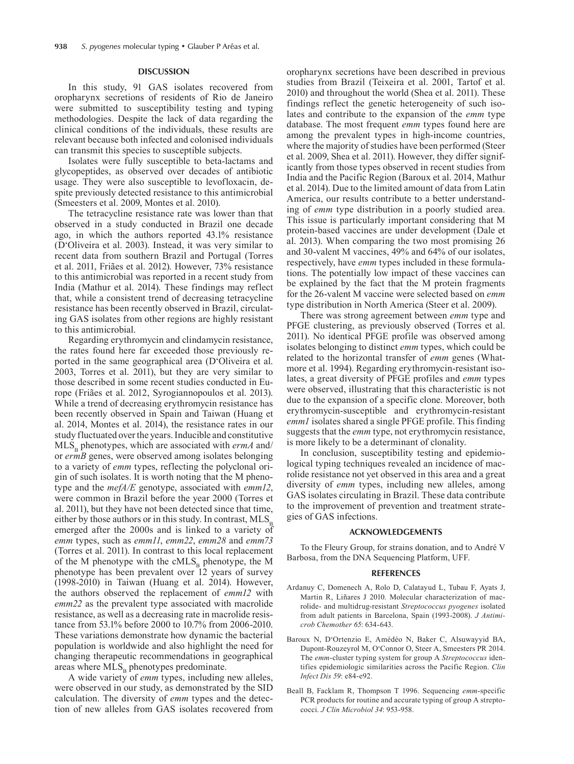## **DISCUSSION**

In this study, 91 GAS isolates recovered from oropharynx secretions of residents of Rio de Janeiro were submitted to susceptibility testing and typing methodologies. Despite the lack of data regarding the clinical conditions of the individuals, these results are relevant because both infected and colonised individuals can transmit this species to susceptible subjects.

Isolates were fully susceptible to beta-lactams and glycopeptides, as observed over decades of antibiotic usage. They were also susceptible to levofloxacin, despite previously detected resistance to this antimicrobial (Smeesters et al. 2009, Montes et al. 2010).

The tetracycline resistance rate was lower than that observed in a study conducted in Brazil one decade ago, in which the authors reported 43.1% resistance (D'Oliveira et al. 2003). Instead, it was very similar to recent data from southern Brazil and Portugal (Torres et al. 2011, Friães et al. 2012). However, 73% resistance to this antimicrobial was reported in a recent study from India (Mathur et al. 2014). These findings may reflect that, while a consistent trend of decreasing tetracycline resistance has been recently observed in Brazil, circulating GAS isolates from other regions are highly resistant to this antimicrobial.

Regarding erythromycin and clindamycin resistance, the rates found here far exceeded those previously reported in the same geographical area (D'Oliveira et al. 2003, Torres et al. 2011), but they are very similar to those described in some recent studies conducted in Europe (Friães et al. 2012, Syrogiannopoulos et al. 2013). While a trend of decreasing erythromycin resistance has been recently observed in Spain and Taiwan (Huang et al. 2014, Montes et al. 2014), the resistance rates in our study fluctuated over the years. Inducible and constitutive  $MLS<sub>p</sub>$  phenotypes, which are associated with *ermA* and/ or *ermB* genes, were observed among isolates belonging to a variety of *emm* types, reflecting the polyclonal origin of such isolates. It is worth noting that the M phenotype and the *mefA/E* genotype, associated with *emm12*, were common in Brazil before the year 2000 (Torres et al. 2011), but they have not been detected since that time, either by those authors or in this study. In contrast,  $MLS<sub>B</sub>$ emerged after the 2000s and is linked to a variety of *emm* types, such as *emm11*, *emm22*, *emm28* and *emm73*  (Torres et al. 2011). In contrast to this local replacement of the M phenotype with the  $cMLS<sub>B</sub>$  phenotype, the M phenotype has been prevalent over 12 years of survey (1998-2010) in Taiwan (Huang et al. 2014). However, the authors observed the replacement of *emm12* with *emm22* as the prevalent type associated with macrolide resistance, as well as a decreasing rate in macrolide resistance from 53.1% before 2000 to 10.7% from 2006-2010. These variations demonstrate how dynamic the bacterial population is worldwide and also highlight the need for changing therapeutic recommendations in geographical areas where  $MLS_B$  phenotypes predominate.

A wide variety of *emm* types, including new alleles, were observed in our study, as demonstrated by the SID calculation. The diversity of *emm* types and the detection of new alleles from GAS isolates recovered from

oropharynx secretions have been described in previous studies from Brazil (Teixeira et al. 2001, Tartof et al. 2010) and throughout the world (Shea et al. 2011). These findings reflect the genetic heterogeneity of such isolates and contribute to the expansion of the *emm* type database. The most frequent *emm* types found here are among the prevalent types in high-income countries, where the majority of studies have been performed (Steer et al. 2009, Shea et al. 2011). However, they differ significantly from those types observed in recent studies from India and the Pacific Region (Baroux et al. 2014, Mathur et al. 2014). Due to the limited amount of data from Latin America, our results contribute to a better understanding of *emm* type distribution in a poorly studied area. This issue is particularly important considering that M protein-based vaccines are under development (Dale et al. 2013). When comparing the two most promising 26 and 30-valent M vaccines, 49% and 64% of our isolates, respectively, have *emm* types included in these formulations. The potentially low impact of these vaccines can be explained by the fact that the M protein fragments for the 26-valent M vaccine were selected based on *emm* type distribution in North America (Steer et al. 2009).

There was strong agreement between *emm* type and PFGE clustering, as previously observed (Torres et al. 2011). No identical PFGE profile was observed among isolates belonging to distinct *emm* types, which could be related to the horizontal transfer of *emm* genes (Whatmore et al. 1994). Regarding erythromycin-resistant isolates, a great diversity of PFGE profiles and *emm* types were observed, illustrating that this characteristic is not due to the expansion of a specific clone. Moreover, both erythromycin-susceptible and erythromycin-resistant *emm1* isolates shared a single PFGE profile. This finding suggests that the *emm* type, not erythromycin resistance, is more likely to be a determinant of clonality.

In conclusion, susceptibility testing and epidemiological typing techniques revealed an incidence of macrolide resistance not yet observed in this area and a great diversity of *emm* types, including new alleles, among GAS isolates circulating in Brazil. These data contribute to the improvement of prevention and treatment strategies of GAS infections.

#### **ACKNOWLEDGEMENTS**

To the Fleury Group, for strains donation, and to André V Barbosa, from the DNA Sequencing Platform, UFF.

#### **REFERENCES**

- Ardanuy C, Domenech A, Rolo D, Calatayud L, Tubau F, Ayats J, Martin R, Liñares J 2010. Molecular characterization of macrolide- and multidrug-resistant *Streptococcus pyogenes* isolated from adult patients in Barcelona, Spain (1993-2008). *J Antimicrob Chemother 65*: 634-643.
- Baroux N, D'Ortenzio E, Amédéo N, Baker C, Alsuwayyid BA, Dupont-Rouzeyrol M, O'Connor O, Steer A, Smeesters PR 2014. The *emm*-cluster typing system for group A *Streptococcus* identifies epidemiologic similarities across the Pacific Region. *Clin Infect Dis 59*: e84-e92.
- Beall B, Facklam R, Thompson T 1996. Sequencing *emm*-specific PCR products for routine and accurate typing of group A streptococci. *J Clin Microbiol 34*: 953-958.